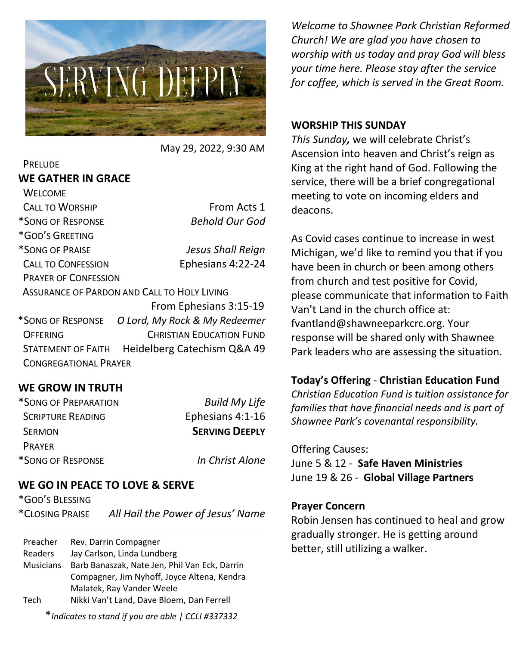

May 29, 2022, 9:30 AM

### **PRELUDE WE GATHER IN GRACE**

| <b>WELCOME</b>              |                                             |
|-----------------------------|---------------------------------------------|
| <b>CALL TO WORSHIP</b>      | From Acts 1                                 |
| *SONG OF RESPONSE           | <b>Behold Our God</b>                       |
| *GOD'S GREETING             |                                             |
| *SONG OF PRAISE             | Jesus Shall Reign                           |
| <b>CALL TO CONFESSION</b>   | Ephesians 4:22-24                           |
| <b>PRAYER OF CONFESSION</b> |                                             |
|                             | ASSURANCE OF PARDON AND CALL TO HOLY LIVING |
|                             | From Ephesians 3:15-19                      |
| *SONG OF RESPONSE           | O Lord, My Rock & My Redeemer               |
|                             |                                             |

OFFERING CHRISTIAN EDUCATION FUND STATEMENT OF FAITH Heidelberg Catechism Q&A 49 CONGREGATIONAL PRAYER

### **WE GROW IN TRUTH**

| *SONG OF PREPARATION     | <b>Build My Life</b>  |
|--------------------------|-----------------------|
| <b>SCRIPTURE READING</b> | Ephesians 4:1-16      |
| <b>SERMON</b>            | <b>SERVING DEEPLY</b> |
| <b>PRAYFR</b>            |                       |
| *SONG OF RESPONSE        | In Christ Alone       |

### **WE GO IN PEACE TO LOVE & SERVE**

\*GOD'S BLESSING

\*CLOSING PRAISE *All Hail the Power of Jesus' Name*

Preacher Rev. Darrin Compagner Readers Jay Carlson, Linda Lundberg Musicians Barb Banaszak, Nate Jen, Phil Van Eck, Darrin Compagner, Jim Nyhoff, Joyce Altena, Kendra Malatek, Ray Vander Weele Tech Nikki Van't Land, Dave Bloem, Dan Ferrell

*Welcome to Shawnee Park Christian Reformed Church! We are glad you have chosen to worship with us today and pray God will bless your time here. Please stay after the service for coffee, which is served in the Great Room.*

### **WORSHIP THIS SUNDAY**

*This Sunday,* we will celebrate Christ's Ascension into heaven and Christ's reign as King at the right hand of God. Following the service, there will be a brief congregational meeting to vote on incoming elders and deacons.

As Covid cases continue to increase in west Michigan, we'd like to remind you that if you have been in church or been among others from church and test positive for Covid, please communicate that information to Faith Van't Land in the church office at: fvantland@shawneeparkcrc.org. Your response will be shared only with Shawnee Park leaders who are assessing the situation.

### **Today's Offering** - **Christian Education Fund**

*Christian Education Fund is tuition assistance for families that have financial needs and is part of Shawnee Park's covenantal responsibility.*

#### Offering Causes:

June 5 & 12 - **Safe Haven Ministries** June 19 & 26 - **Global Village Partners**

#### **Prayer Concern**

Robin Jensen has continued to heal and grow gradually stronger. He is getting around better, still utilizing a walker.

\**Indicates to stand if you are able | CCLI #337332*